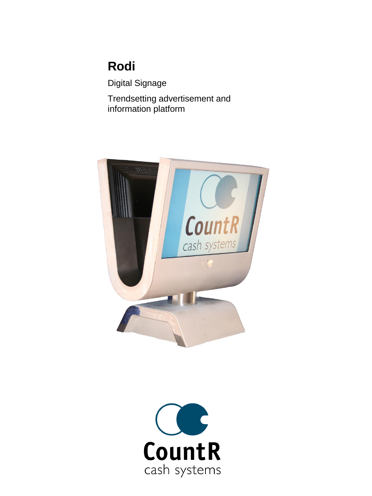# **Rodi**

Digital Signage

Trendsetting advertisement and information platform



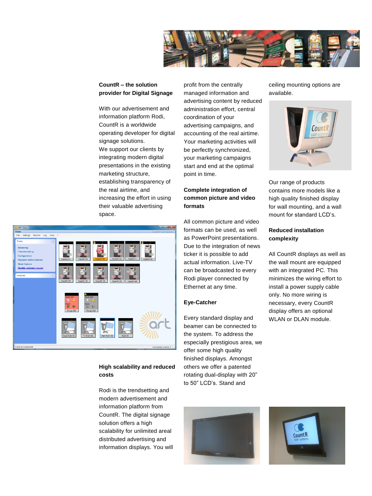

# **CountR – the solution provider for Digital Signage**

With our advertisement and information platform Rodi, CountR is a worldwide operating developer for digital signage solutions. We support our clients by integrating modern digital presentations in the existing marketing structure, establishing transparency of the real airtime, and increasing the effort in using their valuable advertising space.



# **High scalability and reduced costs**

Rodi is the trendsetting and modern advertisement and information platform from CountR. The digital signage solution offers a high scalability for unlimited areal distributed advertising and information displays. You will profit from the centrally managed information and advertising content by reduced administration effort, central coordination of your advertising campaigns, and accounting of the real airtime. Your marketing activities will be perfectly synchronized, your marketing campaigns start and end at the optimal point in time.

# **Complete integration of common picture and video formats**

All common picture and video formats can be used, as well as PowerPoint presentations. Due to the integration of news ticker it is possible to add actual information. Live-TV can be broadcasted to every Rodi player connected by Ethernet at any time.

## **Eye-Catcher**

Every standard display and beamer can be connected to the system. To address the especially prestigious area, we offer some high quality finished displays. Amongst others we offer a patented rotating dual-display with 20" to 50" LCD's. Stand and





Our range of products contains more models like a high quality finished display for wall mounting, and a wall mount for standard LCD's.

# **Reduced installation complexity**

All CountR displays as well as the wall mount are equipped with an integrated PC. This minimizes the wiring effort to install a power supply cable only. No more wiring is necessary, every CountR display offers an optional WLAN or DLAN module.



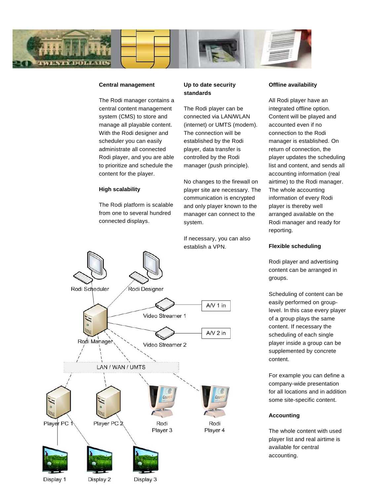

#### **Central management**

The Rodi manager contains a central content management system (CMS) to store and manage all playable content. With the Rodi designer and scheduler you can easily administrate all connected Rodi player, and you are able to prioritize and schedule the content for the player.

#### **High scalability**

The Rodi platform is scalable from one to several hundred connected displays.

#### **Up to date security standards**

The Rodi player can be connected via LAN/WLAN (internet) or UMTS (modem). The connection will be established by the Rodi player, data transfer is controlled by the Rodi manager (push principle).

No changes to the firewall on player site are necessary. The communication is encrypted and only player known to the manager can connect to the system.

If necessary, you can also establish a VPN.

# **Offline availability**

All Rodi player have an integrated offline option. Content will be played and accounted even if no connection to the Rodi manager is established. On return of connection, the player updates the scheduling list and content, and sends all accounting information (real airtime) to the Rodi manager. The whole accounting information of every Rodi player is thereby well arranged available on the Rodi manager and ready for reporting.

# Rodi Designer Rodi Scheduler  $AV1$  in Video Streamer 1  $AV2$  in Rodi Manager Video Streamer 2 LAN / WAN / UMTS Player PC Player PC 2 Rodi Rodi Player 4 Player 3

**Flexible scheduling**

Rodi player and advertising content can be arranged in groups.

Scheduling of content can be easily performed on grouplevel. In this case every player of a group plays the same content. If necessary the scheduling of each single player inside a group can be supplemented by concrete content.

For example you can define a company-wide presentation for all locations and in addition some site-specific content.

#### **Accounting**

The whole content with used player list and real airtime is available for central accounting.

Display 1